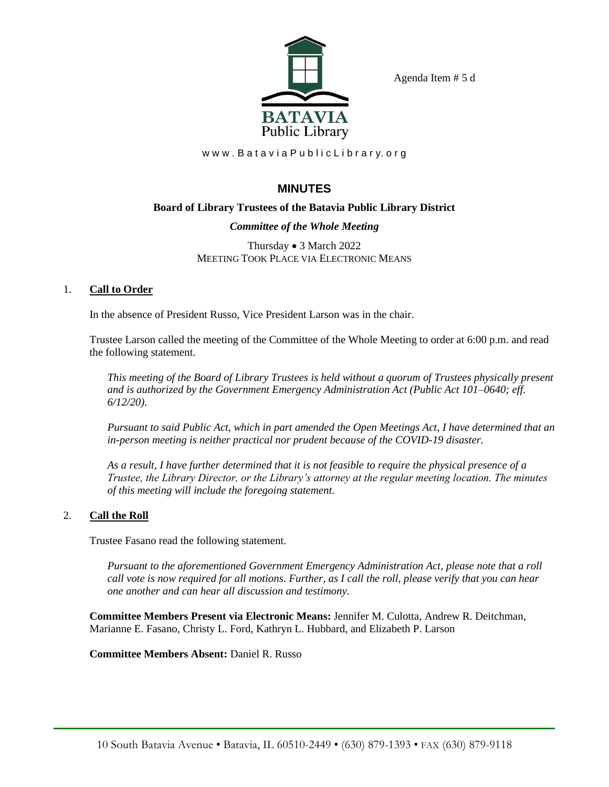

Agenda Item # 5 d

www.BataviaPublicLibrary.org

# **MINUTES**

## **Board of Library Trustees of the Batavia Public Library District**

## *Committee of the Whole Meeting*

Thursday • 3 March 2022 MEETING TOOK PLACE VIA ELECTRONIC MEANS

## 1. **Call to Order**

In the absence of President Russo, Vice President Larson was in the chair.

Trustee Larson called the meeting of the Committee of the Whole Meeting to order at 6:00 p.m. and read the following statement.

*This meeting of the Board of Library Trustees is held without a quorum of Trustees physically present and is authorized by the Government Emergency Administration Act (Public Act 101–0640; eff. 6/12/20).*

*Pursuant to said Public Act, which in part amended the Open Meetings Act, I have determined that an in-person meeting is neither practical nor prudent because of the COVID-19 disaster.*

*As a result, I have further determined that it is not feasible to require the physical presence of a Trustee, the Library Director, or the Library's attorney at the regular meeting location. The minutes of this meeting will include the foregoing statement.*

## 2. **Call the Roll**

Trustee Fasano read the following statement.

*Pursuant to the aforementioned Government Emergency Administration Act, please note that a roll call vote is now required for all motions. Further, as I call the roll, please verify that you can hear one another and can hear all discussion and testimony.*

**Committee Members Present via Electronic Means:** Jennifer M. Culotta, Andrew R. Deitchman, Marianne E. Fasano, Christy L. Ford, Kathryn L. Hubbard, and Elizabeth P. Larson

**Committee Members Absent:** Daniel R. Russo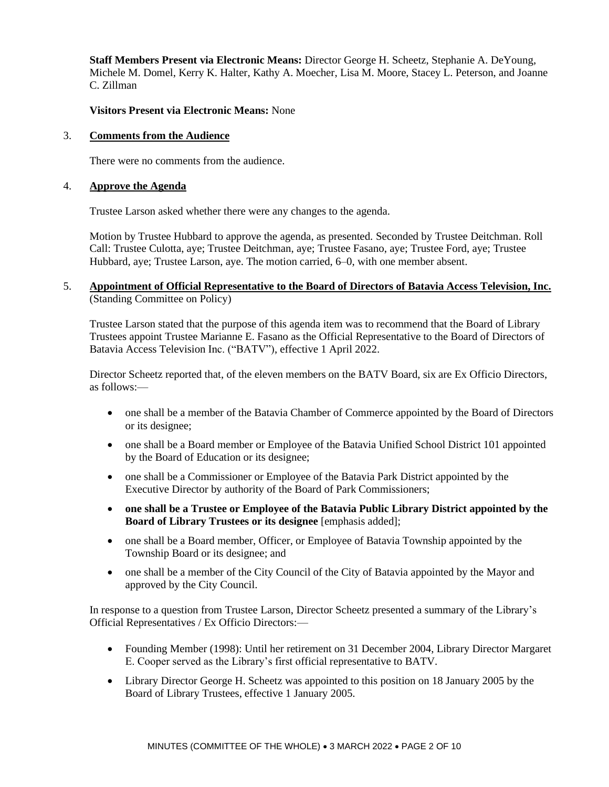**Staff Members Present via Electronic Means:** Director George H. Scheetz, Stephanie A. DeYoung, Michele M. Domel, Kerry K. Halter, Kathy A. Moecher, Lisa M. Moore, Stacey L. Peterson, and Joanne C. Zillman

### **Visitors Present via Electronic Means:** None

#### 3. **Comments from the Audience**

There were no comments from the audience.

#### 4. **Approve the Agenda**

Trustee Larson asked whether there were any changes to the agenda.

Motion by Trustee Hubbard to approve the agenda, as presented. Seconded by Trustee Deitchman. Roll Call: Trustee Culotta, aye; Trustee Deitchman, aye; Trustee Fasano, aye; Trustee Ford, aye; Trustee Hubbard, aye; Trustee Larson, aye. The motion carried, 6–0, with one member absent.

## 5. **Appointment of Official Representative to the Board of Directors of Batavia Access Television, Inc.** (Standing Committee on Policy)

Trustee Larson stated that the purpose of this agenda item was to recommend that the Board of Library Trustees appoint Trustee Marianne E. Fasano as the Official Representative to the Board of Directors of Batavia Access Television Inc. ("BATV"), effective 1 April 2022.

Director Scheetz reported that, of the eleven members on the BATV Board, six are Ex Officio Directors, as follows:—

- one shall be a member of the Batavia Chamber of Commerce appointed by the Board of Directors or its designee;
- one shall be a Board member or Employee of the Batavia Unified School District 101 appointed by the Board of Education or its designee;
- one shall be a Commissioner or Employee of the Batavia Park District appointed by the Executive Director by authority of the Board of Park Commissioners;
- **one shall be a Trustee or Employee of the Batavia Public Library District appointed by the Board of Library Trustees or its designee** [emphasis added];
- one shall be a Board member, Officer, or Employee of Batavia Township appointed by the Township Board or its designee; and
- one shall be a member of the City Council of the City of Batavia appointed by the Mayor and approved by the City Council.

In response to a question from Trustee Larson, Director Scheetz presented a summary of the Library's Official Representatives / Ex Officio Directors:—

- Founding Member (1998): Until her retirement on 31 December 2004, Library Director Margaret E. Cooper served as the Library's first official representative to BATV.
- Library Director George H. Scheetz was appointed to this position on 18 January 2005 by the Board of Library Trustees, effective 1 January 2005.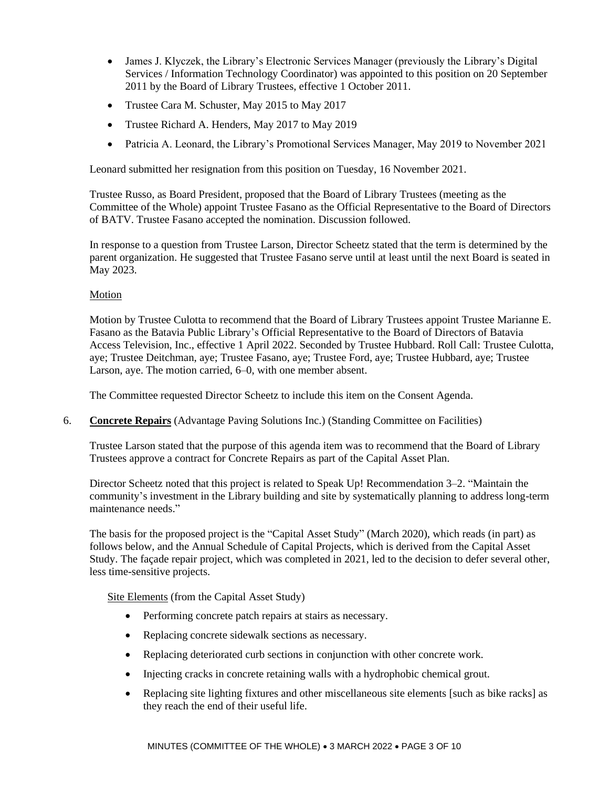- James J. Klyczek, the Library's Electronic Services Manager (previously the Library's Digital Services / Information Technology Coordinator) was appointed to this position on 20 September 2011 by the Board of Library Trustees, effective 1 October 2011.
- Trustee Cara M. Schuster, May 2015 to May 2017
- Trustee Richard A. Henders, May 2017 to May 2019
- Patricia A. Leonard, the Library's Promotional Services Manager, May 2019 to November 2021

Leonard submitted her resignation from this position on Tuesday, 16 November 2021.

Trustee Russo, as Board President, proposed that the Board of Library Trustees (meeting as the Committee of the Whole) appoint Trustee Fasano as the Official Representative to the Board of Directors of BATV. Trustee Fasano accepted the nomination. Discussion followed.

In response to a question from Trustee Larson, Director Scheetz stated that the term is determined by the parent organization. He suggested that Trustee Fasano serve until at least until the next Board is seated in May 2023.

## Motion

Motion by Trustee Culotta to recommend that the Board of Library Trustees appoint Trustee Marianne E. Fasano as the Batavia Public Library's Official Representative to the Board of Directors of Batavia Access Television, Inc., effective 1 April 2022. Seconded by Trustee Hubbard. Roll Call: Trustee Culotta, aye; Trustee Deitchman, aye; Trustee Fasano, aye; Trustee Ford, aye; Trustee Hubbard, aye; Trustee Larson, aye. The motion carried, 6–0, with one member absent.

The Committee requested Director Scheetz to include this item on the Consent Agenda.

6. **Concrete Repairs** (Advantage Paving Solutions Inc.) (Standing Committee on Facilities)

Trustee Larson stated that the purpose of this agenda item was to recommend that the Board of Library Trustees approve a contract for Concrete Repairs as part of the Capital Asset Plan.

Director Scheetz noted that this project is related to Speak Up! Recommendation 3–2. "Maintain the community's investment in the Library building and site by systematically planning to address long-term maintenance needs."

The basis for the proposed project is the "Capital Asset Study" (March 2020), which reads (in part) as follows below, and the Annual Schedule of Capital Projects, which is derived from the Capital Asset Study. The façade repair project, which was completed in 2021, led to the decision to defer several other, less time-sensitive projects.

Site Elements (from the Capital Asset Study)

- Performing concrete patch repairs at stairs as necessary.
- Replacing concrete sidewalk sections as necessary.
- Replacing deteriorated curb sections in conjunction with other concrete work.
- Injecting cracks in concrete retaining walls with a hydrophobic chemical grout.
- Replacing site lighting fixtures and other miscellaneous site elements [such as bike racks] as they reach the end of their useful life.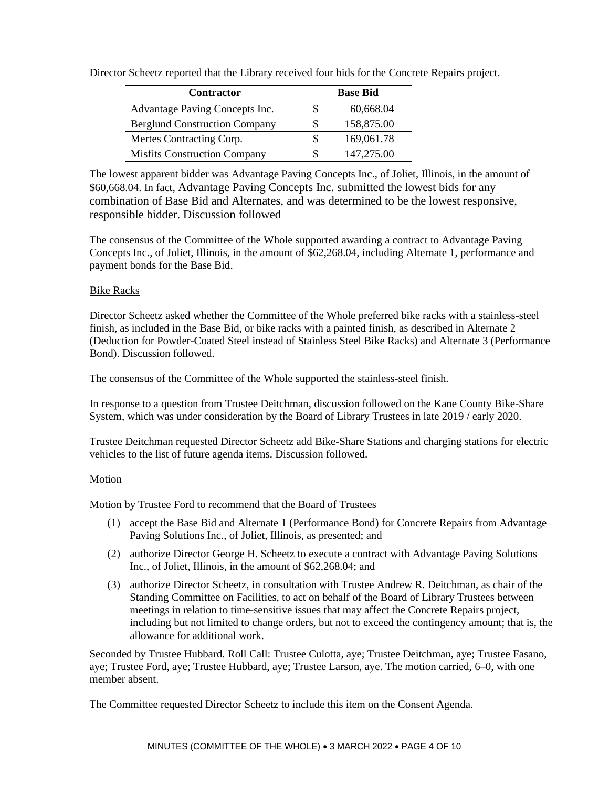| <b>Contractor</b>                    |    | <b>Base Bid</b> |
|--------------------------------------|----|-----------------|
| Advantage Paving Concepts Inc.       | S  | 60,668.04       |
| <b>Berglund Construction Company</b> | S. | 158,875.00      |
| Mertes Contracting Corp.             | S  | 169,061.78      |
| <b>Misfits Construction Company</b>  |    | 147,275.00      |

Director Scheetz reported that the Library received four bids for the Concrete Repairs project.

The lowest apparent bidder was Advantage Paving Concepts Inc., of Joliet, Illinois, in the amount of \$60,668.04. In fact, Advantage Paving Concepts Inc. submitted the lowest bids for any combination of Base Bid and Alternates, and was determined to be the lowest responsive, responsible bidder. Discussion followed

The consensus of the Committee of the Whole supported awarding a contract to Advantage Paving Concepts Inc., of Joliet, Illinois, in the amount of \$62,268.04, including Alternate 1, performance and payment bonds for the Base Bid.

## Bike Racks

Director Scheetz asked whether the Committee of the Whole preferred bike racks with a stainless-steel finish, as included in the Base Bid, or bike racks with a painted finish, as described in Alternate 2 (Deduction for Powder-Coated Steel instead of Stainless Steel Bike Racks) and Alternate 3 (Performance Bond). Discussion followed.

The consensus of the Committee of the Whole supported the stainless-steel finish.

In response to a question from Trustee Deitchman, discussion followed on the Kane County Bike-Share System, which was under consideration by the Board of Library Trustees in late 2019 / early 2020.

Trustee Deitchman requested Director Scheetz add Bike-Share Stations and charging stations for electric vehicles to the list of future agenda items. Discussion followed.

## Motion

Motion by Trustee Ford to recommend that the Board of Trustees

- (1) accept the Base Bid and Alternate 1 (Performance Bond) for Concrete Repairs from Advantage Paving Solutions Inc., of Joliet, Illinois, as presented; and
- (2) authorize Director George H. Scheetz to execute a contract with Advantage Paving Solutions Inc., of Joliet, Illinois, in the amount of \$62,268.04; and
- (3) authorize Director Scheetz, in consultation with Trustee Andrew R. Deitchman, as chair of the Standing Committee on Facilities, to act on behalf of the Board of Library Trustees between meetings in relation to time-sensitive issues that may affect the Concrete Repairs project, including but not limited to change orders, but not to exceed the contingency amount; that is, the allowance for additional work.

Seconded by Trustee Hubbard. Roll Call: Trustee Culotta, aye; Trustee Deitchman, aye; Trustee Fasano, aye; Trustee Ford, aye; Trustee Hubbard, aye; Trustee Larson, aye. The motion carried, 6–0, with one member absent.

The Committee requested Director Scheetz to include this item on the Consent Agenda.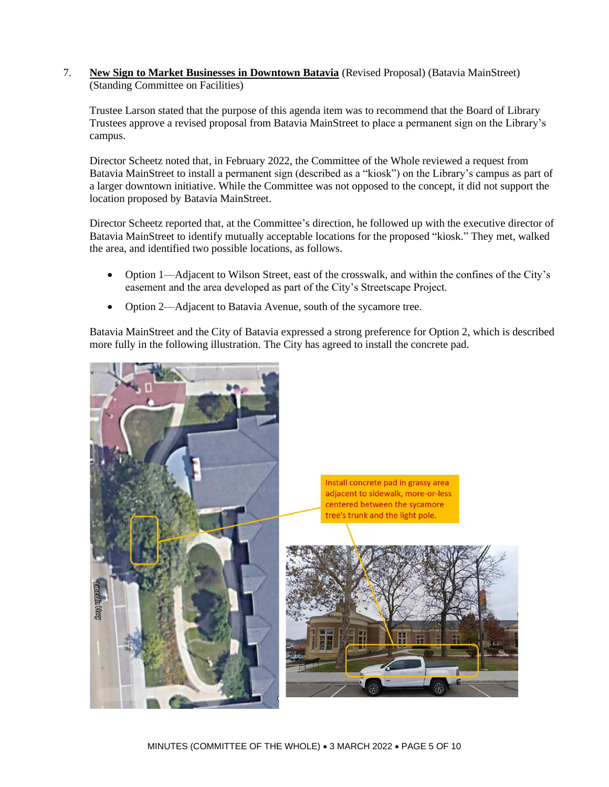7. **New Sign to Market Businesses in Downtown Batavia** (Revised Proposal) (Batavia MainStreet) (Standing Committee on Facilities)

Trustee Larson stated that the purpose of this agenda item was to recommend that the Board of Library Trustees approve a revised proposal from Batavia MainStreet to place a permanent sign on the Library's campus.

Director Scheetz noted that, in February 2022, the Committee of the Whole reviewed a request from Batavia MainStreet to install a permanent sign (described as a "kiosk") on the Library's campus as part of a larger downtown initiative. While the Committee was not opposed to the concept, it did not support the location proposed by Batavia MainStreet.

Director Scheetz reported that, at the Committee's direction, he followed up with the executive director of Batavia MainStreet to identify mutually acceptable locations for the proposed "kiosk." They met, walked the area, and identified two possible locations, as follows.

- Option 1—Adjacent to Wilson Street, east of the crosswalk, and within the confines of the City's easement and the area developed as part of the City's Streetscape Project.
- Option 2—Adjacent to Batavia Avenue, south of the sycamore tree.

Batavia MainStreet and the City of Batavia expressed a strong preference for Option 2, which is described more fully in the following illustration. The City has agreed to install the concrete pad.

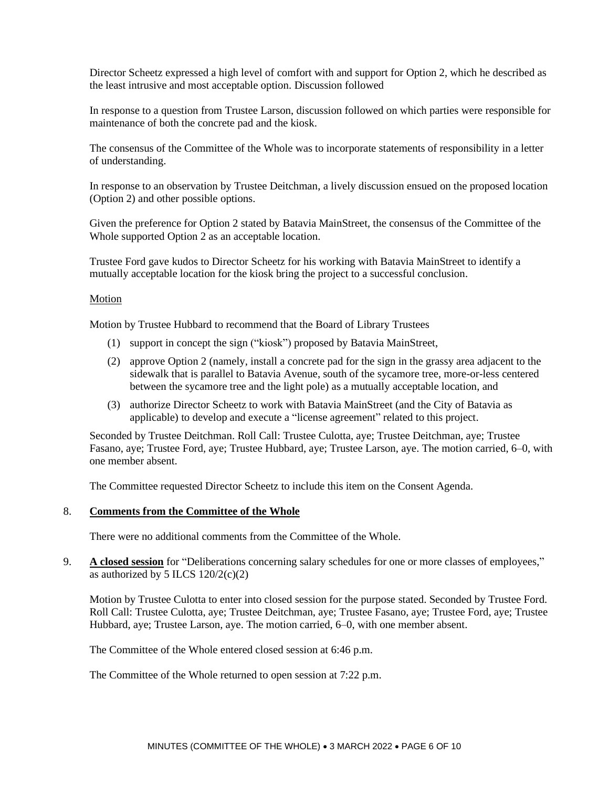Director Scheetz expressed a high level of comfort with and support for Option 2, which he described as the least intrusive and most acceptable option. Discussion followed

In response to a question from Trustee Larson, discussion followed on which parties were responsible for maintenance of both the concrete pad and the kiosk.

The consensus of the Committee of the Whole was to incorporate statements of responsibility in a letter of understanding.

In response to an observation by Trustee Deitchman, a lively discussion ensued on the proposed location (Option 2) and other possible options.

Given the preference for Option 2 stated by Batavia MainStreet, the consensus of the Committee of the Whole supported Option 2 as an acceptable location.

Trustee Ford gave kudos to Director Scheetz for his working with Batavia MainStreet to identify a mutually acceptable location for the kiosk bring the project to a successful conclusion.

#### **Motion**

Motion by Trustee Hubbard to recommend that the Board of Library Trustees

- (1) support in concept the sign ("kiosk") proposed by Batavia MainStreet,
- (2) approve Option 2 (namely, install a concrete pad for the sign in the grassy area adjacent to the sidewalk that is parallel to Batavia Avenue, south of the sycamore tree, more-or-less centered between the sycamore tree and the light pole) as a mutually acceptable location, and
- (3) authorize Director Scheetz to work with Batavia MainStreet (and the City of Batavia as applicable) to develop and execute a "license agreement" related to this project.

Seconded by Trustee Deitchman. Roll Call: Trustee Culotta, aye; Trustee Deitchman, aye; Trustee Fasano, aye; Trustee Ford, aye; Trustee Hubbard, aye; Trustee Larson, aye. The motion carried, 6–0, with one member absent.

The Committee requested Director Scheetz to include this item on the Consent Agenda.

#### 8. **Comments from the Committee of the Whole**

There were no additional comments from the Committee of the Whole.

9. **A closed session** for "Deliberations concerning salary schedules for one or more classes of employees," as authorized by 5 ILCS  $120/2(c)(2)$ 

Motion by Trustee Culotta to enter into closed session for the purpose stated. Seconded by Trustee Ford. Roll Call: Trustee Culotta, aye; Trustee Deitchman, aye; Trustee Fasano, aye; Trustee Ford, aye; Trustee Hubbard, aye; Trustee Larson, aye. The motion carried, 6–0, with one member absent.

The Committee of the Whole entered closed session at 6:46 p.m.

The Committee of the Whole returned to open session at 7:22 p.m.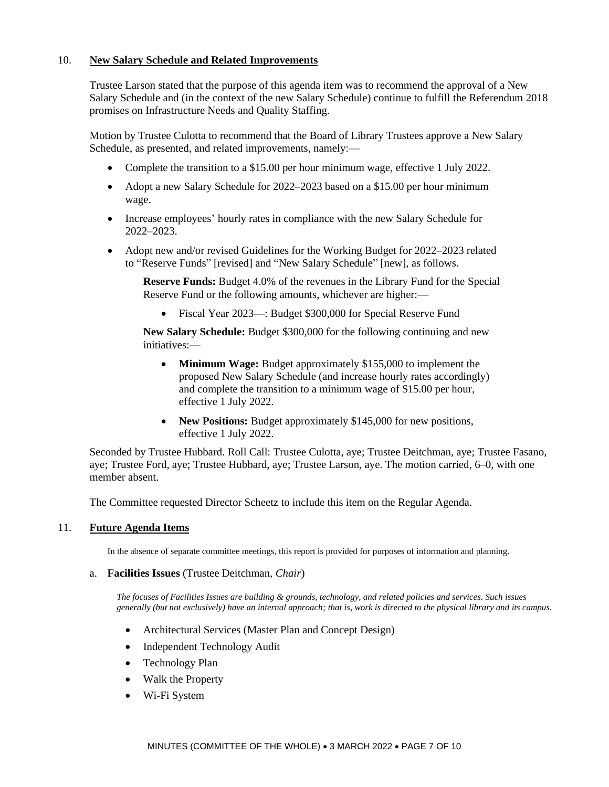## 10. **New Salary Schedule and Related Improvements**

Trustee Larson stated that the purpose of this agenda item was to recommend the approval of a New Salary Schedule and (in the context of the new Salary Schedule) continue to fulfill the Referendum 2018 promises on Infrastructure Needs and Quality Staffing.

Motion by Trustee Culotta to recommend that the Board of Library Trustees approve a New Salary Schedule, as presented, and related improvements, namely:—

- Complete the transition to a \$15.00 per hour minimum wage, effective 1 July 2022.
- Adopt a new Salary Schedule for 2022–2023 based on a \$15.00 per hour minimum wage.
- Increase employees' hourly rates in compliance with the new Salary Schedule for 2022–2023.
- Adopt new and/or revised Guidelines for the Working Budget for 2022–2023 related to "Reserve Funds" [revised] and "New Salary Schedule" [new], as follows.

**Reserve Funds:** Budget 4.0% of the revenues in the Library Fund for the Special Reserve Fund or the following amounts, whichever are higher:—

• Fiscal Year 2023—: Budget \$300,000 for Special Reserve Fund

**New Salary Schedule:** Budget \$300,000 for the following continuing and new initiatives:—

- **Minimum Wage:** Budget approximately \$155,000 to implement the proposed New Salary Schedule (and increase hourly rates accordingly) and complete the transition to a minimum wage of \$15.00 per hour, effective 1 July 2022.
- **New Positions:** Budget approximately \$145,000 for new positions, effective 1 July 2022.

Seconded by Trustee Hubbard. Roll Call: Trustee Culotta, aye; Trustee Deitchman, aye; Trustee Fasano, aye; Trustee Ford, aye; Trustee Hubbard, aye; Trustee Larson, aye. The motion carried, 6–0, with one member absent.

The Committee requested Director Scheetz to include this item on the Regular Agenda.

## 11. **Future Agenda Items**

In the absence of separate committee meetings, this report is provided for purposes of information and planning.

#### a. **Facilities Issues** (Trustee Deitchman, *Chair*)

*The focuses of Facilities Issues are building & grounds, technology, and related policies and services. Such issues generally (but not exclusively) have an internal approach; that is, work is directed to the physical library and its campus.*

- Architectural Services (Master Plan and Concept Design)
- Independent Technology Audit
- Technology Plan
- Walk the Property
- Wi-Fi System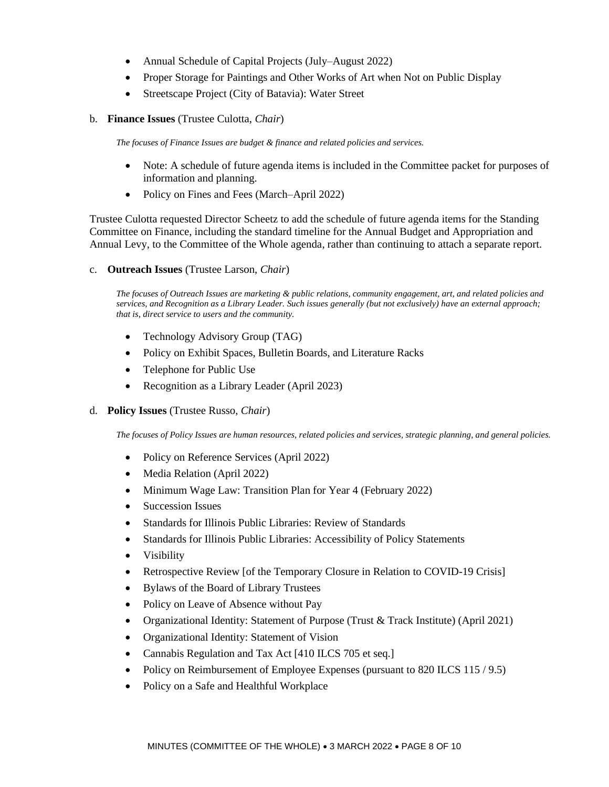- Annual Schedule of Capital Projects (July–August 2022)
- Proper Storage for Paintings and Other Works of Art when Not on Public Display
- Streetscape Project (City of Batavia): Water Street
- b. **Finance Issues** (Trustee Culotta, *Chair*)

*The focuses of Finance Issues are budget & finance and related policies and services.*

- Note: A schedule of future agenda items is included in the Committee packet for purposes of information and planning.
- Policy on Fines and Fees (March–April 2022)

Trustee Culotta requested Director Scheetz to add the schedule of future agenda items for the Standing Committee on Finance, including the standard timeline for the Annual Budget and Appropriation and Annual Levy, to the Committee of the Whole agenda, rather than continuing to attach a separate report.

c. **Outreach Issues** (Trustee Larson, *Chair*)

*The focuses of Outreach Issues are marketing & public relations, community engagement, art, and related policies and services, and Recognition as a Library Leader. Such issues generally (but not exclusively) have an external approach; that is, direct service to users and the community.*

- Technology Advisory Group (TAG)
- Policy on Exhibit Spaces, Bulletin Boards, and Literature Racks
- Telephone for Public Use
- Recognition as a Library Leader (April 2023)
- d. **Policy Issues** (Trustee Russo, *Chair*)

*The focuses of Policy Issues are human resources, related policies and services, strategic planning, and general policies.*

- Policy on Reference Services (April 2022)
- Media Relation (April 2022)
- Minimum Wage Law: Transition Plan for Year 4 (February 2022)
- Succession Issues
- Standards for Illinois Public Libraries: Review of Standards
- Standards for Illinois Public Libraries: Accessibility of Policy Statements
- Visibility
- Retrospective Review [of the Temporary Closure in Relation to COVID-19 Crisis]
- Bylaws of the Board of Library Trustees
- Policy on Leave of Absence without Pay
- Organizational Identity: Statement of Purpose (Trust & Track Institute) (April 2021)
- Organizational Identity: Statement of Vision
- Cannabis Regulation and Tax Act [410 ILCS 705 et seq.]
- Policy on Reimbursement of Employee Expenses (pursuant to 820 ILCS 115 / 9.5)
- Policy on a Safe and Healthful Workplace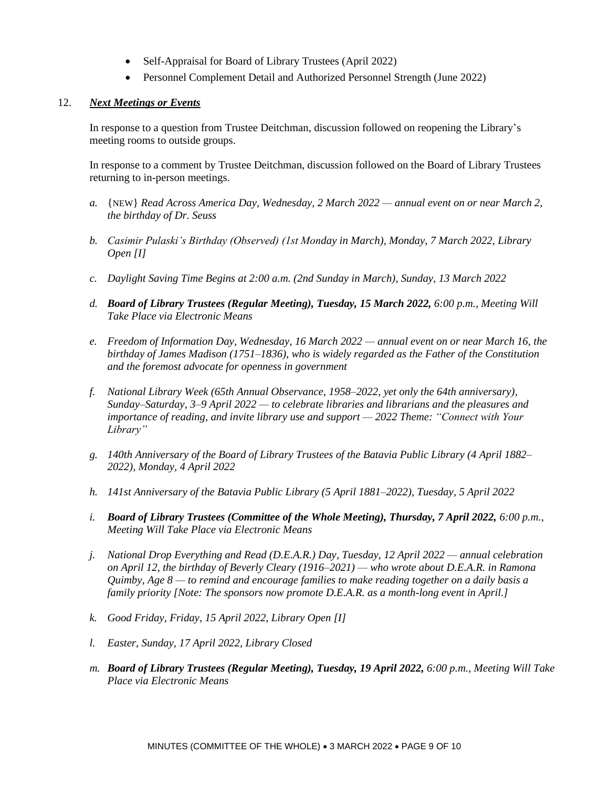- Self-Appraisal for Board of Library Trustees (April 2022)
- Personnel Complement Detail and Authorized Personnel Strength (June 2022)

## 12. *Next Meetings or Events*

In response to a question from Trustee Deitchman, discussion followed on reopening the Library's meeting rooms to outside groups.

In response to a comment by Trustee Deitchman, discussion followed on the Board of Library Trustees returning to in-person meetings.

- *a.* {NEW} *Read Across America Day, Wednesday, 2 March 2022 — annual event on or near March 2, the birthday of Dr. Seuss*
- *b. Casimir Pulaski's Birthday (Observed) (1st Monday in March), Monday, 7 March 2022, Library Open [I]*
- *c. Daylight Saving Time Begins at 2:00 a.m. (2nd Sunday in March), Sunday, 13 March 2022*
- *d. Board of Library Trustees (Regular Meeting), Tuesday, 15 March 2022, 6:00 p.m., Meeting Will Take Place via Electronic Means*
- *e. Freedom of Information Day, Wednesday, 16 March 2022 — annual event on or near March 16, the birthday of James Madison (1751–1836), who is widely regarded as the Father of the Constitution and the foremost advocate for openness in government*
- *f. National Library Week (65th Annual Observance, 1958–2022, yet only the 64th anniversary), Sunday–Saturday, 3–9 April 2022 — to celebrate libraries and librarians and the pleasures and importance of reading, and invite library use and support — 2022 Theme: "Connect with Your Library"*
- *g. 140th Anniversary of the Board of Library Trustees of the Batavia Public Library (4 April 1882– 2022), Monday, 4 April 2022*
- *h. 141st Anniversary of the Batavia Public Library (5 April 1881–2022), Tuesday, 5 April 2022*
- *i. Board of Library Trustees (Committee of the Whole Meeting), Thursday, 7 April 2022, 6:00 p.m., Meeting Will Take Place via Electronic Means*
- *j. National Drop Everything and Read (D.E.A.R.) Day, Tuesday, 12 April 2022 — annual celebration on April 12, the birthday of Beverly Cleary (1916–2021) — who wrote about D.E.A.R. in Ramona Quimby, Age 8 — to remind and encourage families to make reading together on a daily basis a family priority [Note: The sponsors now promote D.E.A.R. as a month-long event in April.]*
- *k. Good Friday, Friday, 15 April 2022, Library Open [I]*
- *l. Easter, Sunday, 17 April 2022, Library Closed*
- *m. Board of Library Trustees (Regular Meeting), Tuesday, 19 April 2022, 6:00 p.m., Meeting Will Take Place via Electronic Means*